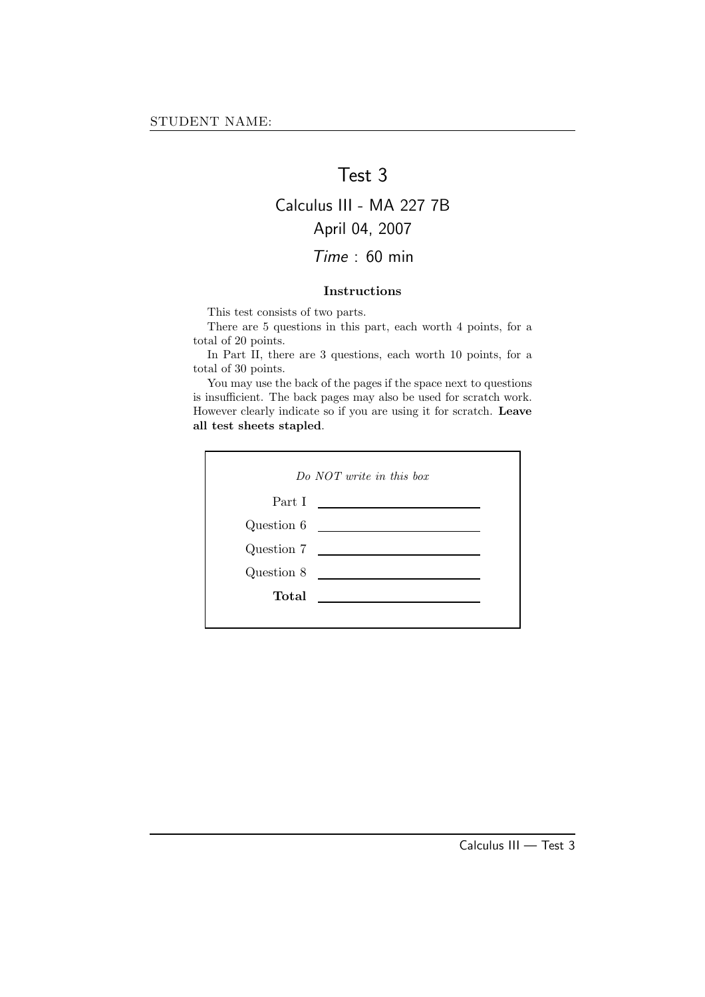## Test 3

### Calculus III - MA 227 7B April 04, 2007

### Time : 60 min

#### Instructions

This test consists of two parts.

There are 5 questions in this part, each worth 4 points, for a total of 20 points.

In Part II, there are 3 questions, each worth 10 points, for a total of 30 points.

You may use the back of the pages if the space next to questions is insufficient. The back pages may also be used for scratch work. However clearly indicate so if you are using it for scratch. Leave all test sheets stapled.

| Do NOT write in this box |                                                                     |
|--------------------------|---------------------------------------------------------------------|
| Part I                   | <u> 1989 - Andrea Station Barbara (</u>                             |
| Question 6               | <u> 1980 - Andrea Brand, amerikansk politik (</u>                   |
|                          | Question $7 \quad \underline{\hspace{2cm}}$                         |
| Question 8               |                                                                     |
| Total                    | $\overline{\phantom{a}}$ . The contract of $\overline{\phantom{a}}$ |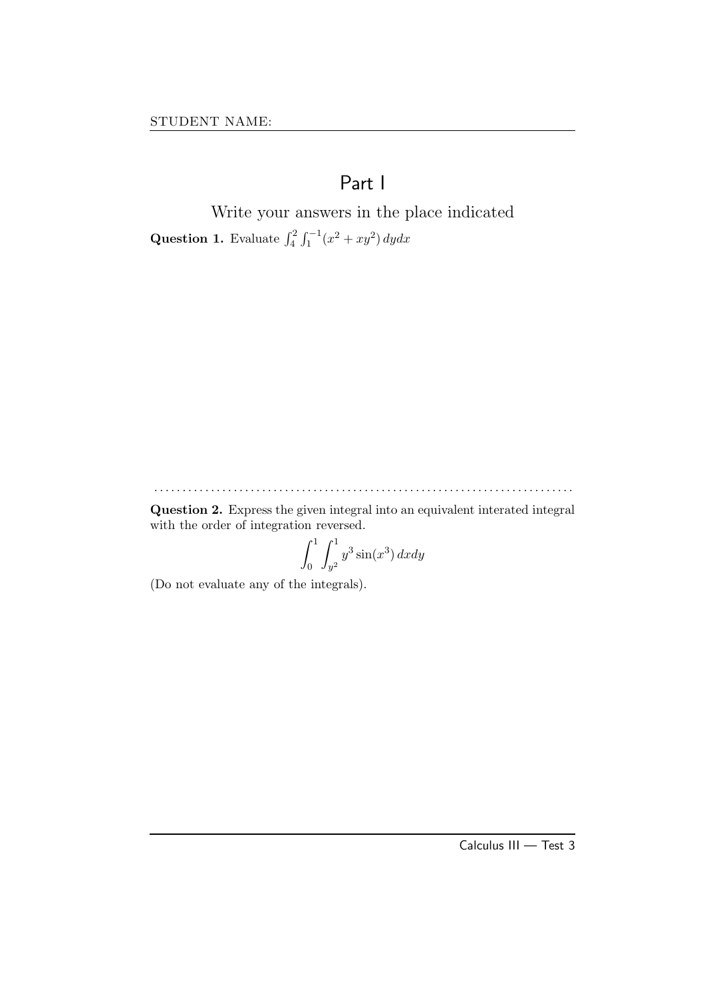# Part I

Write your answers in the place indicated **Question 1.** Evaluate  $\int_{4}^{2} \int_{1}^{-1} (x^2 + xy^2) dy dx$ 

. . . . . . . . . . . . . . . . . . . . . . . . . . . . . . . . . . . . . . . . . . . . . . . . . . . . . . . . . . . . . . . . . . . . . . . . . .

Question 2. Express the given integral into an equivalent interated integral with the order of integration reversed.

$$
\int_0^1 \int_{y^2}^1 y^3 \sin(x^3) \, dx \, dy
$$

(Do not evaluate any of the integrals).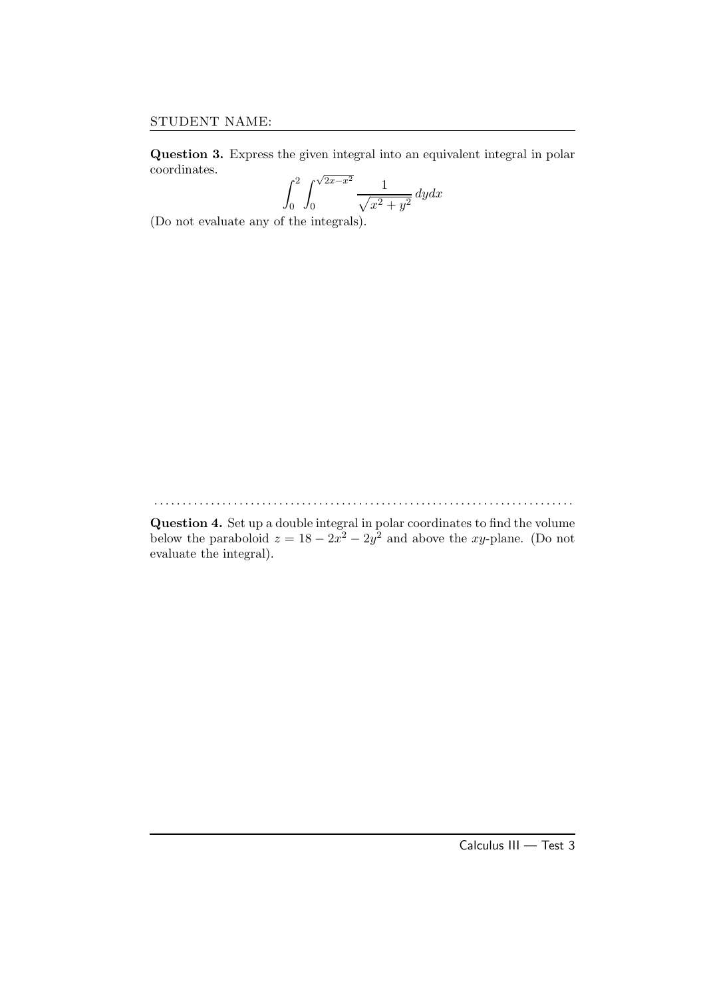Question 3. Express the given integral into an equivalent integral in polar coordinates.

$$
\int_0^2 \int_0^{\sqrt{2x - x^2}} \frac{1}{\sqrt{x^2 + y^2}} \, dy dx
$$

(Do not evaluate any of the integrals).

. . . . . . . . . . . . . . . . . . . . . . . . . . . . . . . . . . . . . . . . . . . . . . . . . . . . . . . . . . . . . . . . . . . . . . . . . .

Question 4. Set up a double integral in polar coordinates to find the volume below the paraboloid  $z = 18 - 2x^2 - 2y^2$  and above the xy-plane. (Do not evaluate the integral).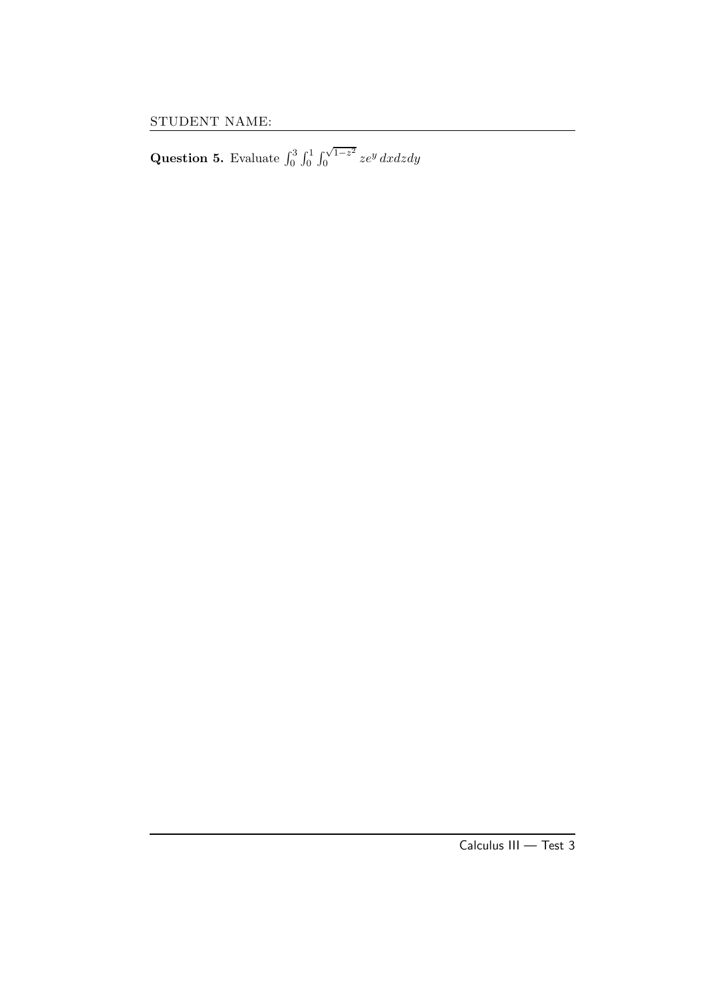Question 5. Evaluate  $\int_0^3 \int_0^1 \int_0^{\sqrt{1-z^2}}$  $\int_{0}^{\sqrt{1-z^2}} ze^y\,dxdzdy$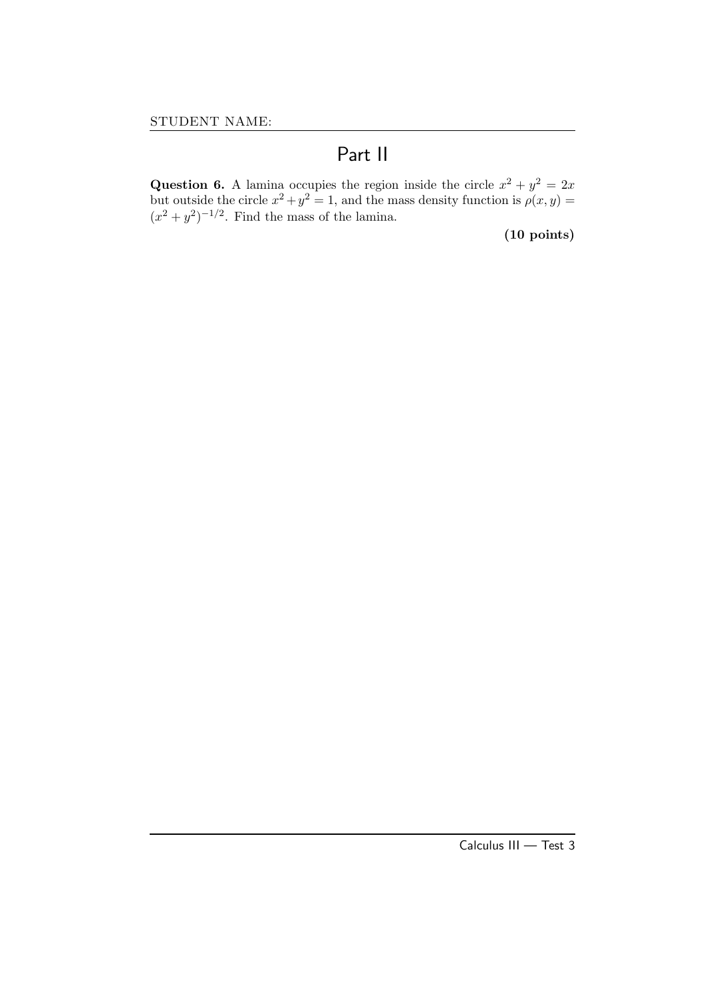# Part II

Question 6. A lamina occupies the region inside the circle  $x^2 + y^2 = 2x$ but outside the circle  $x^2 + y^2 = 1$ , and the mass density function is  $\rho(x, y) =$  $(x^2 + y^2)^{-1/2}$ . Find the mass of the lamina.

(10 points)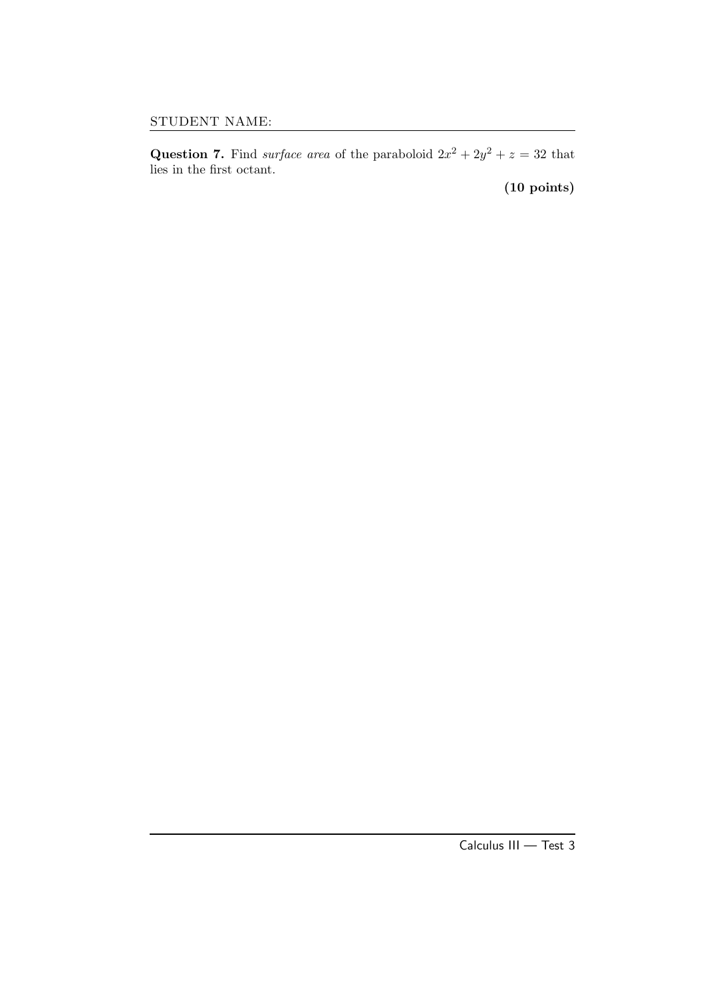Question 7. Find *surface area* of the paraboloid  $2x^2 + 2y^2 + z = 32$  that lies in the first octant.

(10 points)